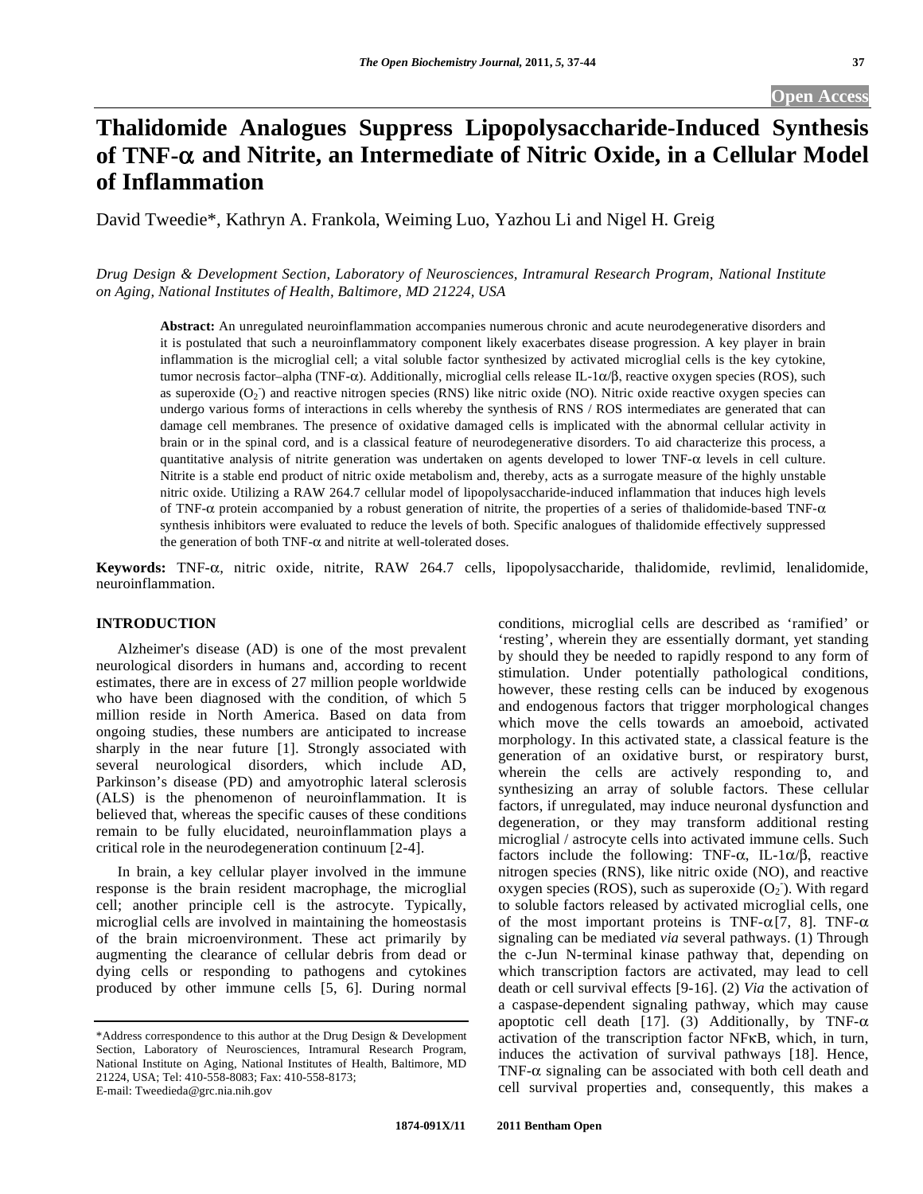# **Thalidomide Analogues Suppress Lipopolysaccharide-Induced Synthesis of TNF- and Nitrite, an Intermediate of Nitric Oxide, in a Cellular Model of Inflammation**

David Tweedie\*, Kathryn A. Frankola, Weiming Luo, Yazhou Li and Nigel H. Greig

*Drug Design & Development Section, Laboratory of Neurosciences, Intramural Research Program, National Institute on Aging, National Institutes of Health, Baltimore, MD 21224, USA* 

**Abstract:** An unregulated neuroinflammation accompanies numerous chronic and acute neurodegenerative disorders and it is postulated that such a neuroinflammatory component likely exacerbates disease progression. A key player in brain inflammation is the microglial cell; a vital soluble factor synthesized by activated microglial cells is the key cytokine, tumor necrosis factor-alpha (TNF- $\alpha$ ). Additionally, microglial cells release IL-1 $\alpha/\beta$ , reactive oxygen species (ROS), such as superoxide  $(O_2)$  and reactive nitrogen species (RNS) like nitric oxide (NO). Nitric oxide reactive oxygen species can undergo various forms of interactions in cells whereby the synthesis of RNS / ROS intermediates are generated that can damage cell membranes. The presence of oxidative damaged cells is implicated with the abnormal cellular activity in brain or in the spinal cord, and is a classical feature of neurodegenerative disorders. To aid characterize this process, a quantitative analysis of nitrite generation was undertaken on agents developed to lower  $TNF-\alpha$  levels in cell culture. Nitrite is a stable end product of nitric oxide metabolism and, thereby, acts as a surrogate measure of the highly unstable nitric oxide. Utilizing a RAW 264.7 cellular model of lipopolysaccharide-induced inflammation that induces high levels of TNF- $\alpha$  protein accompanied by a robust generation of nitrite, the properties of a series of thalidomide-based TNF- $\alpha$ synthesis inhibitors were evaluated to reduce the levels of both. Specific analogues of thalidomide effectively suppressed the generation of both TNF- $\alpha$  and nitrite at well-tolerated doses.

Keywords: TNF- $\alpha$ , nitric oxide, nitrite, RAW 264.7 cells, lipopolysaccharide, thalidomide, revlimid, lenalidomide, neuroinflammation.

# **INTRODUCTION**

 Alzheimer's disease (AD) is one of the most prevalent neurological disorders in humans and, according to recent estimates, there are in excess of 27 million people worldwide who have been diagnosed with the condition, of which 5 million reside in North America. Based on data from ongoing studies, these numbers are anticipated to increase sharply in the near future [1]. Strongly associated with several neurological disorders, which include AD, Parkinson's disease (PD) and amyotrophic lateral sclerosis (ALS) is the phenomenon of neuroinflammation. It is believed that, whereas the specific causes of these conditions remain to be fully elucidated, neuroinflammation plays a critical role in the neurodegeneration continuum [2-4].

 In brain, a key cellular player involved in the immune response is the brain resident macrophage, the microglial cell; another principle cell is the astrocyte. Typically, microglial cells are involved in maintaining the homeostasis of the brain microenvironment. These act primarily by augmenting the clearance of cellular debris from dead or dying cells or responding to pathogens and cytokines produced by other immune cells [5, 6]. During normal

conditions, microglial cells are described as 'ramified' or 'resting', wherein they are essentially dormant, yet standing by should they be needed to rapidly respond to any form of stimulation. Under potentially pathological conditions, however, these resting cells can be induced by exogenous and endogenous factors that trigger morphological changes which move the cells towards an amoeboid, activated morphology. In this activated state, a classical feature is the generation of an oxidative burst, or respiratory burst, wherein the cells are actively responding to, and synthesizing an array of soluble factors. These cellular factors, if unregulated, may induce neuronal dysfunction and degeneration, or they may transform additional resting microglial / astrocyte cells into activated immune cells. Such factors include the following: TNF- $\alpha$ , IL-1 $\alpha/\beta$ , reactive nitrogen species (RNS), like nitric oxide (NO), and reactive oxygen species (ROS), such as superoxide  $(O_2)$ . With regard to soluble factors released by activated microglial cells, one of the most important proteins is TNF- $\alpha$ [7, 8]. TNF- $\alpha$ signaling can be mediated *via* several pathways. (1) Through the c-Jun N-terminal kinase pathway that, depending on which transcription factors are activated, may lead to cell death or cell survival effects [9-16]. (2) *Via* the activation of a caspase-dependent signaling pathway, which may cause apoptotic cell death [17]. (3) Additionally, by TNF- $\alpha$ activation of the transcription factor NFKB, which, in turn, induces the activation of survival pathways [18]. Hence, TNF- $\alpha$  signaling can be associated with both cell death and cell survival properties and, consequently, this makes a

<sup>\*</sup>Address correspondence to this author at the Drug Design & Development Section, Laboratory of Neurosciences, Intramural Research Program, National Institute on Aging, National Institutes of Health, Baltimore, MD 21224, USA; Tel: 410-558-8083; Fax: 410-558-8173; E-mail: Tweedieda@grc.nia.nih.gov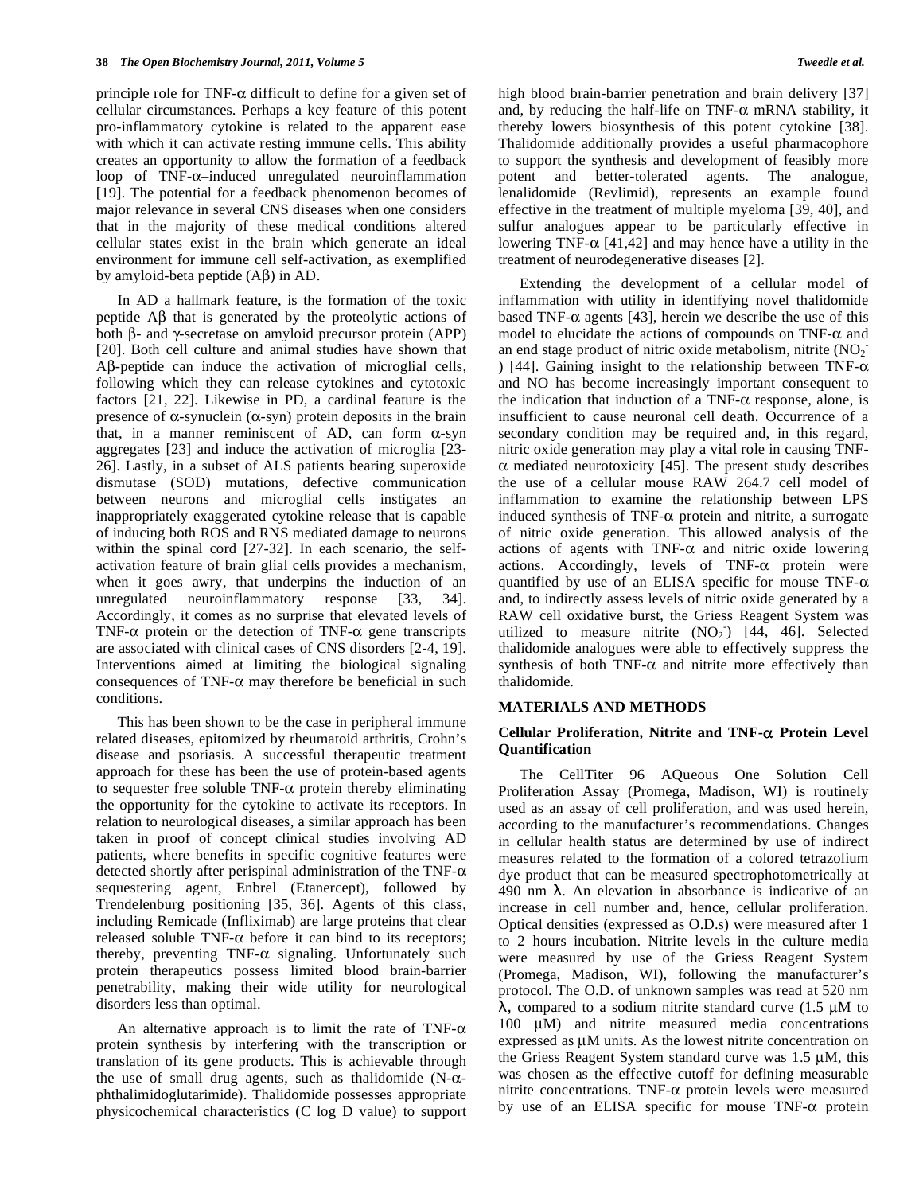principle role for TNF- $\alpha$  difficult to define for a given set of cellular circumstances. Perhaps a key feature of this potent pro-inflammatory cytokine is related to the apparent ease with which it can activate resting immune cells. This ability creates an opportunity to allow the formation of a feedback loop of  $TNF-\alpha$ -induced unregulated neuroinflammation [19]. The potential for a feedback phenomenon becomes of major relevance in several CNS diseases when one considers that in the majority of these medical conditions altered cellular states exist in the brain which generate an ideal environment for immune cell self-activation, as exemplified by amyloid-beta peptide  $(A\beta)$  in AD.

 In AD a hallmark feature, is the formation of the toxic peptide  $\overrightarrow{AB}$  that is generated by the proteolytic actions of both  $\beta$ - and  $\gamma$ -secretase on amyloid precursor protein (APP) [20]. Both cell culture and animal studies have shown that  $\Delta\beta$ -peptide can induce the activation of microglial cells, following which they can release cytokines and cytotoxic factors [21, 22]. Likewise in PD, a cardinal feature is the presence of  $\alpha$ -synuclein ( $\alpha$ -syn) protein deposits in the brain that, in a manner reminiscent of AD, can form  $\alpha$ -syn aggregates [23] and induce the activation of microglia [23- 26]. Lastly, in a subset of ALS patients bearing superoxide dismutase (SOD) mutations, defective communication between neurons and microglial cells instigates an inappropriately exaggerated cytokine release that is capable of inducing both ROS and RNS mediated damage to neurons within the spinal cord [27-32]. In each scenario, the selfactivation feature of brain glial cells provides a mechanism, when it goes awry, that underpins the induction of an unregulated neuroinflammatory response [33, 34]. Accordingly, it comes as no surprise that elevated levels of TNF- $\alpha$  protein or the detection of TNF- $\alpha$  gene transcripts are associated with clinical cases of CNS disorders [2-4, 19]. Interventions aimed at limiting the biological signaling consequences of TNF- $\alpha$  may therefore be beneficial in such conditions.

 This has been shown to be the case in peripheral immune related diseases, epitomized by rheumatoid arthritis, Crohn's disease and psoriasis. A successful therapeutic treatment approach for these has been the use of protein-based agents to sequester free soluble TNF- $\alpha$  protein thereby eliminating the opportunity for the cytokine to activate its receptors. In relation to neurological diseases, a similar approach has been taken in proof of concept clinical studies involving AD patients, where benefits in specific cognitive features were detected shortly after perispinal administration of the TNF- $\alpha$ sequestering agent, Enbrel (Etanercept), followed by Trendelenburg positioning [35, 36]. Agents of this class, including Remicade (Infliximab) are large proteins that clear released soluble  $TNF-\alpha$  before it can bind to its receptors; thereby, preventing TNF- $\alpha$  signaling. Unfortunately such protein therapeutics possess limited blood brain-barrier penetrability, making their wide utility for neurological disorders less than optimal.

An alternative approach is to limit the rate of TNF- $\alpha$ protein synthesis by interfering with the transcription or translation of its gene products. This is achievable through the use of small drug agents, such as thalidomide  $(N-\alpha$ phthalimidoglutarimide). Thalidomide possesses appropriate physicochemical characteristics (C log D value) to support

high blood brain-barrier penetration and brain delivery [37] and, by reducing the half-life on TNF- $\alpha$  mRNA stability, it thereby lowers biosynthesis of this potent cytokine [38]. Thalidomide additionally provides a useful pharmacophore to support the synthesis and development of feasibly more potent and better-tolerated agents. The analogue, lenalidomide (Revlimid), represents an example found effective in the treatment of multiple myeloma [39, 40], and sulfur analogues appear to be particularly effective in lowering TNF- $\alpha$  [41,42] and may hence have a utility in the treatment of neurodegenerative diseases [2].

 Extending the development of a cellular model of inflammation with utility in identifying novel thalidomide based TNF- $\alpha$  agents [43], herein we describe the use of this model to elucidate the actions of compounds on TNF- $\alpha$  and an end stage product of nitric oxide metabolism, nitrite  $(NO<sub>2</sub>)$ ) [44]. Gaining insight to the relationship between TNF- $\alpha$ and NO has become increasingly important consequent to the indication that induction of a TNF- $\alpha$  response, alone, is insufficient to cause neuronal cell death. Occurrence of a secondary condition may be required and, in this regard, nitric oxide generation may play a vital role in causing TNF-  $\alpha$  mediated neurotoxicity [45]. The present study describes the use of a cellular mouse RAW 264.7 cell model of inflammation to examine the relationship between LPS induced synthesis of TNF- $\alpha$  protein and nitrite, a surrogate of nitric oxide generation. This allowed analysis of the actions of agents with  $TNF-\alpha$  and nitric oxide lowering actions. Accordingly, levels of  $TNF-\alpha$  protein were quantified by use of an ELISA specific for mouse TNF- $\alpha$ and, to indirectly assess levels of nitric oxide generated by a RAW cell oxidative burst, the Griess Reagent System was utilized to measure nitrite  $(NO<sub>2</sub>)$  [44, 46]. Selected thalidomide analogues were able to effectively suppress the synthesis of both TNF- $\alpha$  and nitrite more effectively than thalidomide.

#### **MATERIALS AND METHODS**

# **Cellular Proliferation, Nitrite and TNF- Protein Level Quantification**

 The CellTiter 96 AQueous One Solution Cell Proliferation Assay (Promega, Madison, WI) is routinely used as an assay of cell proliferation, and was used herein, according to the manufacturer's recommendations. Changes in cellular health status are determined by use of indirect measures related to the formation of a colored tetrazolium dye product that can be measured spectrophotometrically at 490 nm  $\lambda$ . An elevation in absorbance is indicative of an increase in cell number and, hence, cellular proliferation. Optical densities (expressed as O.D.s) were measured after 1 to 2 hours incubation. Nitrite levels in the culture media were measured by use of the Griess Reagent System (Promega, Madison, WI), following the manufacturer's protocol. The O.D. of unknown samples was read at 520 nm  $λ$ , compared to a sodium nitrite standard curve (1.5 μM to 100 μM) and nitrite measured media concentrations expressed as μM units. As the lowest nitrite concentration on the Griess Reagent System standard curve was 1.5 μM, this was chosen as the effective cutoff for defining measurable nitrite concentrations. TNF- $\alpha$  protein levels were measured by use of an ELISA specific for mouse  $TNF-\alpha$  protein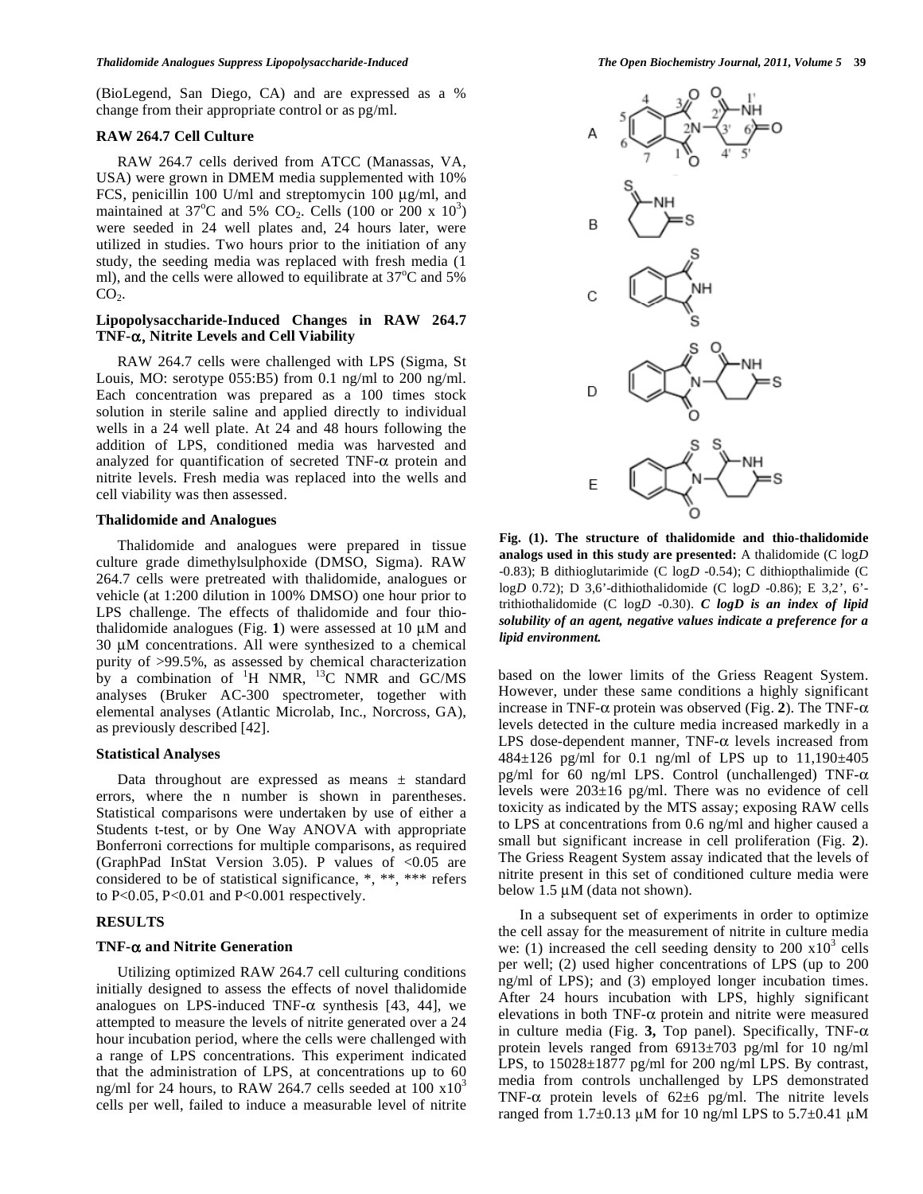(BioLegend, San Diego, CA) and are expressed as a % change from their appropriate control or as pg/ml.

### **RAW 264.7 Cell Culture**

 RAW 264.7 cells derived from ATCC (Manassas, VA, USA) were grown in DMEM media supplemented with 10% FCS, penicillin 100 U/ml and streptomycin 100 μg/ml, and maintained at 37°C and 5% CO<sub>2</sub>. Cells (100 or 200 x 10<sup>3</sup>) were seeded in 24 well plates and, 24 hours later, were utilized in studies. Two hours prior to the initiation of any study, the seeding media was replaced with fresh media (1 ml), and the cells were allowed to equilibrate at  $37^{\circ}$ C and  $5\%$  $CO<sub>2</sub>$ .

# **Lipopolysaccharide-Induced Changes in RAW 264.7 TNF-α, Nitrite Levels and Cell Viability**

 RAW 264.7 cells were challenged with LPS (Sigma, St Louis, MO: serotype 055:B5) from 0.1 ng/ml to 200 ng/ml. Each concentration was prepared as a 100 times stock solution in sterile saline and applied directly to individual wells in a 24 well plate. At 24 and 48 hours following the addition of LPS, conditioned media was harvested and analyzed for quantification of secreted TNF- $\alpha$  protein and nitrite levels. Fresh media was replaced into the wells and cell viability was then assessed.

### **Thalidomide and Analogues**

 Thalidomide and analogues were prepared in tissue culture grade dimethylsulphoxide (DMSO, Sigma). RAW 264.7 cells were pretreated with thalidomide, analogues or vehicle (at 1:200 dilution in 100% DMSO) one hour prior to LPS challenge. The effects of thalidomide and four thiothalidomide analogues (Fig. **1**) were assessed at 10 μM and 30 μM concentrations. All were synthesized to a chemical purity of >99.5%, as assessed by chemical characterization by a combination of  ${}^{1}H$  NMR,  ${}^{13}C$  NMR and GC/MS analyses (Bruker AC-300 spectrometer, together with elemental analyses (Atlantic Microlab, Inc., Norcross, GA), as previously described [42].

## **Statistical Analyses**

Data throughout are expressed as means  $\pm$  standard errors, where the n number is shown in parentheses. Statistical comparisons were undertaken by use of either a Students t-test, or by One Way ANOVA with appropriate Bonferroni corrections for multiple comparisons, as required (GraphPad InStat Version 3.05). P values of <0.05 are considered to be of statistical significance, \*, \*\*, \*\*\* refers to P<0.05, P<0.01 and P<0.001 respectively.

# **RESULTS**

#### **TNF- and Nitrite Generation**

 Utilizing optimized RAW 264.7 cell culturing conditions initially designed to assess the effects of novel thalidomide analogues on LPS-induced TNF- $\alpha$  synthesis [43, 44], we attempted to measure the levels of nitrite generated over a 24 hour incubation period, where the cells were challenged with a range of LPS concentrations. This experiment indicated that the administration of LPS, at concentrations up to 60 ng/ml for 24 hours, to RAW 264.7 cells seeded at  $100 \times 10^3$ cells per well, failed to induce a measurable level of nitrite



**Fig. (1). The structure of thalidomide and thio-thalidomide analogs used in this study are presented:** A thalidomide (C log*D* -0.83); B dithioglutarimide (C log*D* -0.54); C dithiopthalimide (C log*D* 0.72); D 3,6'-dithiothalidomide (C log*D* -0.86); E 3,2', 6' trithiothalidomide (C log*D* -0.30). *C logD is an index of lipid solubility of an agent, negative values indicate a preference for a lipid environment.*

based on the lower limits of the Griess Reagent System. However, under these same conditions a highly significant increase in TNF- $\alpha$  protein was observed (Fig. 2). The TNF- $\alpha$ levels detected in the culture media increased markedly in a LPS dose-dependent manner,  $TNF-\alpha$  levels increased from  $484 \pm 126$  pg/ml for 0.1 ng/ml of LPS up to  $11,190 \pm 405$ pg/ml for 60 ng/ml LPS. Control (unchallenged) TNF- $\alpha$ levels were  $203\pm16$  pg/ml. There was no evidence of cell toxicity as indicated by the MTS assay; exposing RAW cells to LPS at concentrations from 0.6 ng/ml and higher caused a small but significant increase in cell proliferation (Fig. **2**). The Griess Reagent System assay indicated that the levels of nitrite present in this set of conditioned culture media were below 1.5 μM (data not shown).

 In a subsequent set of experiments in order to optimize the cell assay for the measurement of nitrite in culture media we: (1) increased the cell seeding density to 200  $\times 10^3$  cells per well; (2) used higher concentrations of LPS (up to 200 ng/ml of LPS); and (3) employed longer incubation times. After 24 hours incubation with LPS, highly significant elevations in both TNF- $\alpha$  protein and nitrite were measured in culture media (Fig. 3, Top panel). Specifically, TNF- $\alpha$ protein levels ranged from 6913±703 pg/ml for 10 ng/ml LPS, to  $15028 \pm 1877$  pg/ml for 200 ng/ml LPS. By contrast, media from controls unchallenged by LPS demonstrated TNF- $\alpha$  protein levels of 62±6 pg/ml. The nitrite levels ranged from  $1.7\pm0.13$  µM for 10 ng/ml LPS to  $5.7\pm0.41$  µM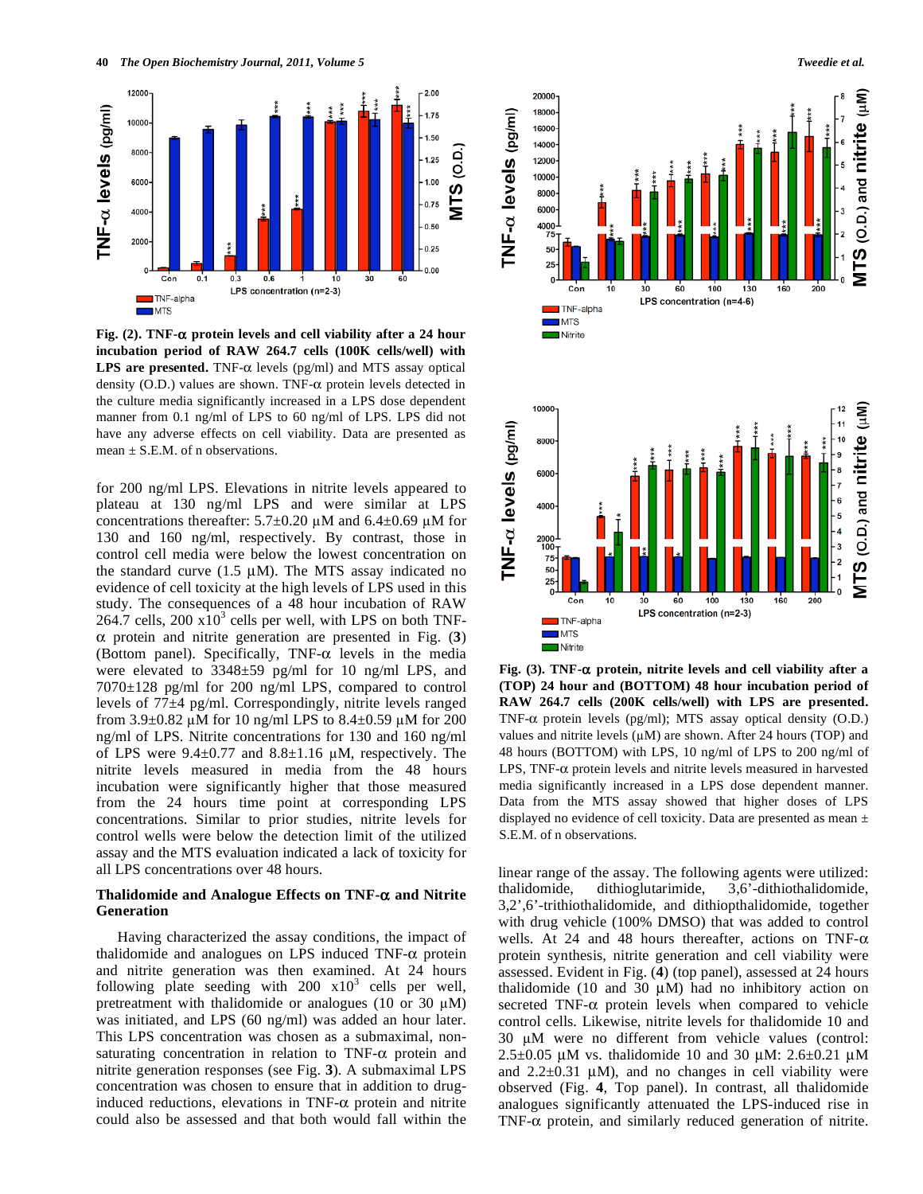

**Fig.** (2). TNF- $\alpha$  protein levels and cell viability after a 24 hour **incubation period of RAW 264.7 cells (100K cells/well) with LPS are presented.** TNF- $\alpha$  levels (pg/ml) and MTS assay optical density (O.D.) values are shown. TNF- $\alpha$  protein levels detected in the culture media significantly increased in a LPS dose dependent manner from 0.1 ng/ml of LPS to 60 ng/ml of LPS. LPS did not have any adverse effects on cell viability. Data are presented as mean  $\pm$  S.E.M. of n observations.

for 200 ng/ml LPS. Elevations in nitrite levels appeared to plateau at 130 ng/ml LPS and were similar at LPS concentrations thereafter:  $5.7\pm0.20 \mu M$  and  $6.4\pm0.69 \mu M$  for 130 and 160 ng/ml, respectively. By contrast, those in control cell media were below the lowest concentration on the standard curve  $(1.5 \mu M)$ . The MTS assay indicated no evidence of cell toxicity at the high levels of LPS used in this study. The consequences of a 48 hour incubation of RAW  $264.7$  cells,  $200 \times 10^3$  cells per well, with LPS on both TNF- $\alpha$  protein and nitrite generation are presented in Fig. (3) (Bottom panel). Specifically, TNF- $\alpha$  levels in the media were elevated to 3348±59 pg/ml for 10 ng/ml LPS, and 7070±128 pg/ml for 200 ng/ml LPS, compared to control levels of 77±4 pg/ml. Correspondingly, nitrite levels ranged from 3.9 $\pm$ 0.82 µM for 10 ng/ml LPS to 8.4 $\pm$ 0.59 µM for 200 ng/ml of LPS. Nitrite concentrations for 130 and 160 ng/ml of LPS were  $9.4 \pm 0.77$  and  $8.8 \pm 1.16$  µM, respectively. The nitrite levels measured in media from the 48 hours incubation were significantly higher that those measured from the 24 hours time point at corresponding LPS concentrations. Similar to prior studies, nitrite levels for control wells were below the detection limit of the utilized assay and the MTS evaluation indicated a lack of toxicity for all LPS concentrations over 48 hours.

# **Thalidomide and Analogue Effects on TNF- and Nitrite Generation**

 Having characterized the assay conditions, the impact of thalidomide and analogues on LPS induced TNF- $\alpha$  protein and nitrite generation was then examined. At 24 hours following plate seeding with  $200 \times 10^3$  cells per well, pretreatment with thalidomide or analogues (10 or 30  $\mu$ M) was initiated, and LPS (60 ng/ml) was added an hour later. This LPS concentration was chosen as a submaximal, nonsaturating concentration in relation to  $TNF-\alpha$  protein and nitrite generation responses (see Fig. **3**). A submaximal LPS concentration was chosen to ensure that in addition to druginduced reductions, elevations in TNF- $\alpha$  protein and nitrite could also be assessed and that both would fall within the



**Fig. (3). TNF- protein, nitrite levels and cell viability after a (TOP) 24 hour and (BOTTOM) 48 hour incubation period of RAW 264.7 cells (200K cells/well) with LPS are presented.** TNF- $\alpha$  protein levels (pg/ml); MTS assay optical density (O.D.) values and nitrite levels  $(\mu M)$  are shown. After 24 hours (TOP) and 48 hours (BOTTOM) with LPS, 10 ng/ml of LPS to 200 ng/ml of LPS, TNF- $\alpha$  protein levels and nitrite levels measured in harvested media significantly increased in a LPS dose dependent manner. Data from the MTS assay showed that higher doses of LPS displayed no evidence of cell toxicity. Data are presented as mean ± S.E.M. of n observations.

linear range of the assay. The following agents were utilized: thalidomide, dithioglutarimide, 3,6'-dithiothalidomide, 3,2',6'-trithiothalidomide, and dithiopthalidomide, together with drug vehicle (100% DMSO) that was added to control wells. At 24 and 48 hours thereafter, actions on TNF- $\alpha$ protein synthesis, nitrite generation and cell viability were assessed. Evident in Fig. (**4**) (top panel), assessed at 24 hours thalidomide (10 and 30  $\mu$ M) had no inhibitory action on secreted TNF- $\alpha$  protein levels when compared to vehicle control cells. Likewise, nitrite levels for thalidomide 10 and 30 uM were no different from vehicle values (control: 2.5 $\pm$ 0.05 μM vs. thalidomide 10 and 30 μM: 2.6 $\pm$ 0.21 μM and  $2.2\pm0.31$   $\mu$ M), and no changes in cell viability were observed (Fig. **4**, Top panel). In contrast, all thalidomide analogues significantly attenuated the LPS-induced rise in TNF- $\alpha$  protein, and similarly reduced generation of nitrite.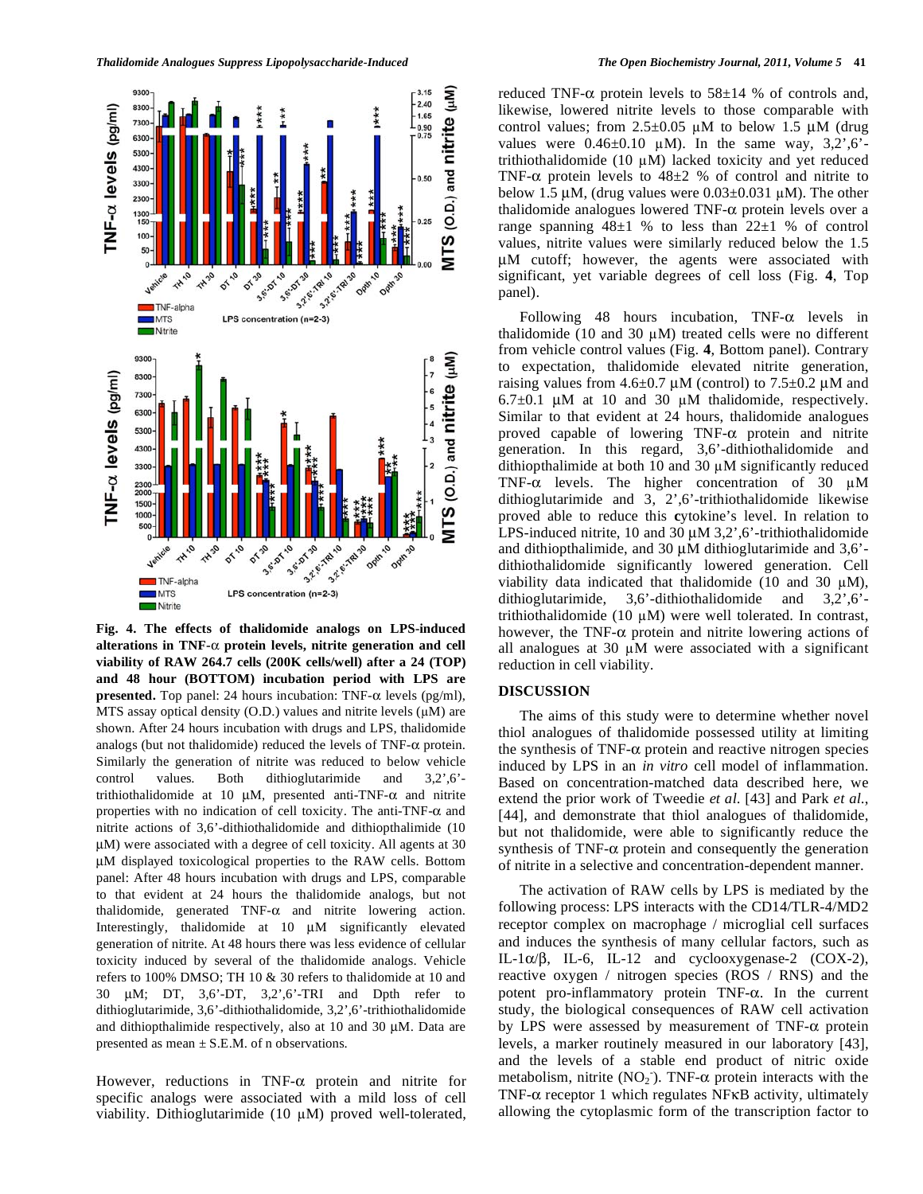

**Fig. 4. The effects of thalidomide analogs on LPS-induced**  alterations in TNF- $\alpha$  protein levels, nitrite generation and cell **viability of RAW 264.7 cells (200K cells/well) after a 24 (TOP) and 48 hour (BOTTOM) incubation period with LPS are presented.** Top panel: 24 hours incubation: TNF- $\alpha$  levels (pg/ml), MTS assay optical density (O.D.) values and nitrite levels  $(\mu M)$  are shown. After 24 hours incubation with drugs and LPS, thalidomide analogs (but not thalidomide) reduced the levels of TNF- $\alpha$  protein. Similarly the generation of nitrite was reduced to below vehicle control values. Both dithioglutarimide and 3,2',6' trithiothalidomide at 10  $\mu$ M, presented anti-TNF- $\alpha$  and nitrite properties with no indication of cell toxicity. The anti-TNF- $\alpha$  and nitrite actions of 3,6'-dithiothalidomide and dithiopthalimide (10 μM) were associated with a degree of cell toxicity. All agents at 30 μM displayed toxicological properties to the RAW cells. Bottom panel: After 48 hours incubation with drugs and LPS, comparable to that evident at 24 hours the thalidomide analogs, but not thalidomide, generated  $TNF-\alpha$  and nitrite lowering action. Interestingly, thalidomide at 10 μM significantly elevated generation of nitrite. At 48 hours there was less evidence of cellular toxicity induced by several of the thalidomide analogs. Vehicle refers to 100% DMSO; TH 10 & 30 refers to thalidomide at 10 and 30 μM; DT, 3,6'-DT, 3,2',6'-TRI and Dpth refer to dithioglutarimide, 3,6'-dithiothalidomide, 3,2',6'-trithiothalidomide and dithiopthalimide respectively, also at 10 and 30 μM. Data are presented as mean  $\pm$  S.E.M. of n observations.

However, reductions in TNF- $\alpha$  protein and nitrite for specific analogs were associated with a mild loss of cell viability. Dithioglutarimide  $(10 \mu M)$  proved well-tolerated, reduced TNF- $\alpha$  protein levels to 58 $\pm$ 14 % of controls and, likewise, lowered nitrite levels to those comparable with control values; from  $2.5 \pm 0.05$   $\mu$ M to below 1.5  $\mu$ M (drug values were  $0.46\pm0.10$   $\mu$ M). In the same way, 3,2',6'trithiothalidomide (10  $\mu$ M) lacked toxicity and yet reduced TNF- $\alpha$  protein levels to 48 $\pm$ 2 % of control and nitrite to below 1.5  $\mu$ M, (drug values were 0.03 $\pm$ 0.031  $\mu$ M). The other thalidomide analogues lowered TNF- $\alpha$  protein levels over a range spanning  $48\pm1$  % to less than  $22\pm1$  % of control values, nitrite values were similarly reduced below the 1.5 μM cutoff; however, the agents were associated with significant, yet variable degrees of cell loss (Fig. **4**, Top panel).

Following 48 hours incubation,  $TNF-\alpha$  levels in thalidomide (10 and 30  $\mu$ M) treated cells were no different from vehicle control values (Fig. **4**, Bottom panel). Contrary to expectation, thalidomide elevated nitrite generation, raising values from  $4.6 \pm 0.7 \mu M$  (control) to  $7.5 \pm 0.2 \mu M$  and  $6.7\pm0.1$  μM at 10 and 30 μM thalidomide, respectively. Similar to that evident at 24 hours, thalidomide analogues proved capable of lowering  $TNF-\alpha$  protein and nitrite generation. In this regard, 3,6'-dithiothalidomide and dithiopthalimide at both 10 and 30  $\mu$ M significantly reduced TNF- $\alpha$  levels. The higher concentration of 30  $\mu$ M dithioglutarimide and 3, 2',6'-trithiothalidomide likewise proved able to reduce this **c**ytokine's level. In relation to LPS-induced nitrite, 10 and 30  $\mu$ M 3,2',6'-trithiothalidomide and dithiopthalimide, and 30 μM dithioglutarimide and 3,6' dithiothalidomide significantly lowered generation. Cell viability data indicated that thalidomide (10 and 30  $\mu$ M), dithioglutarimide, 3,6'-dithiothalidomide and 3,2',6' trithiothalidomide (10  $\mu$ M) were well tolerated. In contrast, however, the TNF- $\alpha$  protein and nitrite lowering actions of all analogues at 30  $\mu$ M were associated with a significant reduction in cell viability.

# **DISCUSSION**

 The aims of this study were to determine whether novel thiol analogues of thalidomide possessed utility at limiting the synthesis of TNF- $\alpha$  protein and reactive nitrogen species induced by LPS in an *in vitro* cell model of inflammation. Based on concentration-matched data described here, we extend the prior work of Tweedie *et al*. [43] and Park *et al*., [44], and demonstrate that thiol analogues of thalidomide, but not thalidomide, were able to significantly reduce the synthesis of TNF- $\alpha$  protein and consequently the generation of nitrite in a selective and concentration-dependent manner.

 The activation of RAW cells by LPS is mediated by the following process: LPS interacts with the CD14/TLR-4/MD2 receptor complex on macrophage / microglial cell surfaces and induces the synthesis of many cellular factors, such as IL-1 $\alpha/\beta$ , IL-6, IL-12 and cyclooxygenase-2 (COX-2), reactive oxygen / nitrogen species (ROS / RNS) and the potent pro-inflammatory protein  $TNF-\alpha$ . In the current study, the biological consequences of RAW cell activation by LPS were assessed by measurement of TNF- $\alpha$  protein levels, a marker routinely measured in our laboratory [43], and the levels of a stable end product of nitric oxide metabolism, nitrite  $(NO<sub>2</sub>)$ . TNF- $\alpha$  protein interacts with the TNF- $\alpha$  receptor 1 which regulates NF $\kappa$ B activity, ultimately allowing the cytoplasmic form of the transcription factor to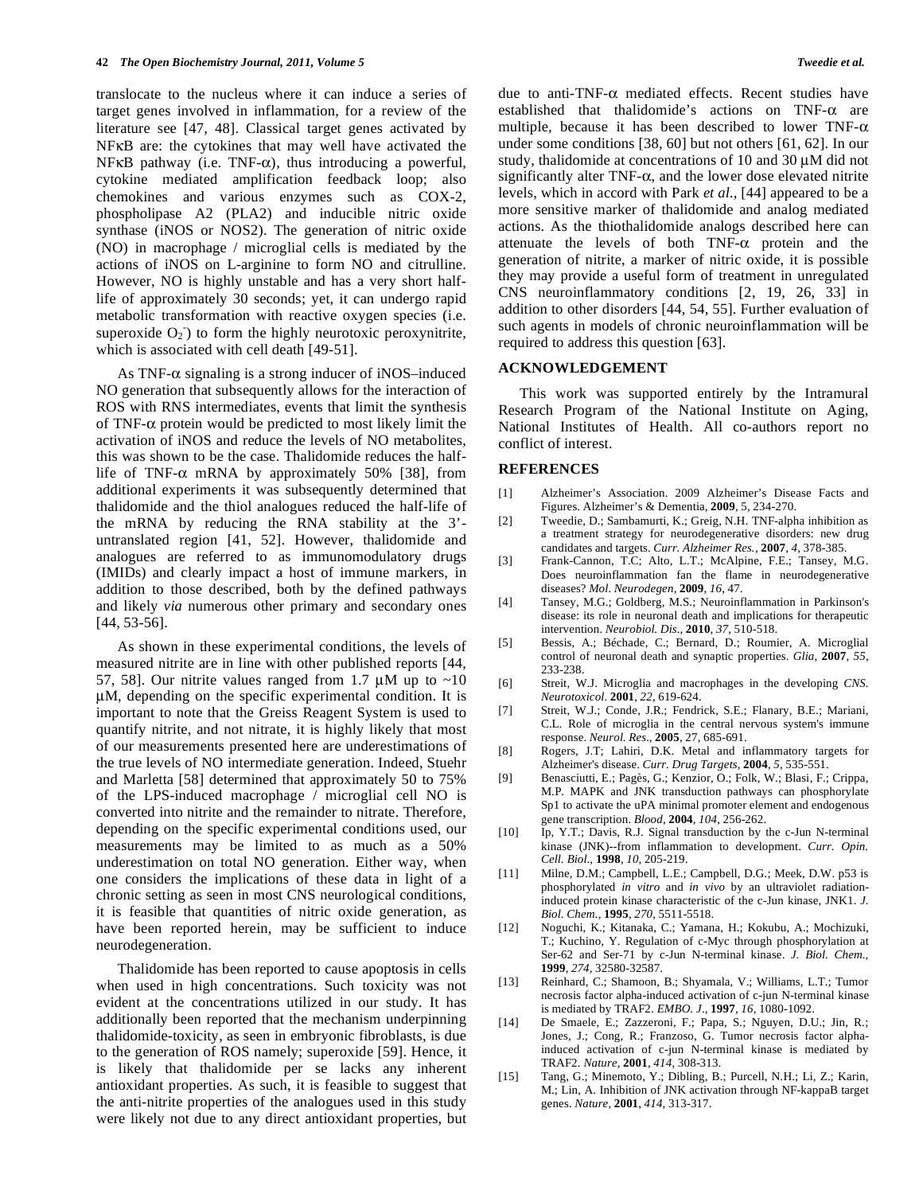translocate to the nucleus where it can induce a series of target genes involved in inflammation, for a review of the literature see [47, 48]. Classical target genes activated by NFKB are: the cytokines that may well have activated the  $NF \kappa B$  pathway (i.e.  $TNF-\alpha$ ), thus introducing a powerful, cytokine mediated amplification feedback loop; also chemokines and various enzymes such as COX-2, phospholipase A2 (PLA2) and inducible nitric oxide synthase (iNOS or NOS2). The generation of nitric oxide (NO) in macrophage / microglial cells is mediated by the actions of iNOS on L-arginine to form NO and citrulline. However, NO is highly unstable and has a very short halflife of approximately 30 seconds; yet, it can undergo rapid metabolic transformation with reactive oxygen species (i.e. superoxide  $O_2$ ) to form the highly neurotoxic peroxynitrite, which is associated with cell death [49-51].

As TNF- $\alpha$  signaling is a strong inducer of iNOS–induced NO generation that subsequently allows for the interaction of ROS with RNS intermediates, events that limit the synthesis of TNF- $\alpha$  protein would be predicted to most likely limit the activation of iNOS and reduce the levels of NO metabolites, this was shown to be the case. Thalidomide reduces the halflife of TNF- $\alpha$  mRNA by approximately 50% [38], from additional experiments it was subsequently determined that thalidomide and the thiol analogues reduced the half-life of the mRNA by reducing the RNA stability at the 3' untranslated region [41, 52]. However, thalidomide and analogues are referred to as immunomodulatory drugs (IMIDs) and clearly impact a host of immune markers, in addition to those described, both by the defined pathways and likely *via* numerous other primary and secondary ones [44, 53-56].

 As shown in these experimental conditions, the levels of measured nitrite are in line with other published reports [44, 57, 58]. Our nitrite values ranged from 1.7  $\mu$ M up to ~10 μM, depending on the specific experimental condition. It is important to note that the Greiss Reagent System is used to quantify nitrite, and not nitrate, it is highly likely that most of our measurements presented here are underestimations of the true levels of NO intermediate generation. Indeed, Stuehr and Marletta [58] determined that approximately 50 to 75% of the LPS-induced macrophage / microglial cell NO is converted into nitrite and the remainder to nitrate. Therefore, depending on the specific experimental conditions used, our measurements may be limited to as much as a 50% underestimation on total NO generation. Either way, when one considers the implications of these data in light of a chronic setting as seen in most CNS neurological conditions, it is feasible that quantities of nitric oxide generation, as have been reported herein, may be sufficient to induce neurodegeneration.

 Thalidomide has been reported to cause apoptosis in cells when used in high concentrations. Such toxicity was not evident at the concentrations utilized in our study. It has additionally been reported that the mechanism underpinning thalidomide-toxicity, as seen in embryonic fibroblasts, is due to the generation of ROS namely; superoxide [59]. Hence, it is likely that thalidomide per se lacks any inherent antioxidant properties. As such, it is feasible to suggest that the anti-nitrite properties of the analogues used in this study were likely not due to any direct antioxidant properties, but

due to anti-TNF- $\alpha$  mediated effects. Recent studies have established that thalidomide's actions on  $TNF-\alpha$  are multiple, because it has been described to lower TNF- $\alpha$ under some conditions [38, 60] but not others [61, 62]. In our study, thalidomide at concentrations of 10 and 30 μM did not significantly alter TNF- $\alpha$ , and the lower dose elevated nitrite levels, which in accord with Park *et al*., [44] appeared to be a more sensitive marker of thalidomide and analog mediated actions. As the thiothalidomide analogs described here can attenuate the levels of both  $TNF-\alpha$  protein and the generation of nitrite, a marker of nitric oxide, it is possible they may provide a useful form of treatment in unregulated CNS neuroinflammatory conditions [2, 19, 26, 33] in addition to other disorders [44, 54, 55]. Further evaluation of such agents in models of chronic neuroinflammation will be required to address this question [63].

#### **ACKNOWLEDGEMENT**

 This work was supported entirely by the Intramural Research Program of the National Institute on Aging, National Institutes of Health. All co-authors report no conflict of interest.

#### **REFERENCES**

- [1] Alzheimer's Association. 2009 Alzheimer's Disease Facts and Figures. Alzheimer's & Dementia, **2009**, 5, 234-270.
- [2] Tweedie, D.; Sambamurti, K.; Greig, N.H. TNF-alpha inhibition as a treatment strategy for neurodegenerative disorders: new drug candidates and targets. *Curr. Alzheimer Res.*, **2007**, *4*, 378-385.
- [3] Frank-Cannon, T.C; Alto, L.T.; McAlpine, F.E.; Tansey, M.G. Does neuroinflammation fan the flame in neurodegenerative diseases? *Mol*. *Neurodegen*, **2009**, *16*, 47.
- [4] Tansey, M.G.; Goldberg, M.S.; Neuroinflammation in Parkinson's disease: its role in neuronal death and implications for therapeutic intervention. *Neurobiol. Dis*., **2010**, *37*, 510-518.
- [5] Bessis, A.; Béchade, C.; Bernard, D.; Roumier, A. Microglial control of neuronal death and synaptic properties. *Glia*, **2007**, *55*, 233-238.
- [6] Streit, W.J. Microglia and macrophages in the developing *CNS. Neurotoxicol*. **2001**, *22*, 619-624.
- [7] Streit, W.J.; Conde, J.R.; Fendrick, S.E.; Flanary, B.E.; Mariani, C.L. Role of microglia in the central nervous system's immune response. *Neurol. Res*., **2005**, 27, 685-691.
- [8] Rogers, J.T; Lahiri, D.K. Metal and inflammatory targets for Alzheimer's disease. *Curr. Drug Targets*, **2004**, *5*, 535-551.
- [9] Benasciutti, E.; Pagès, G.; Kenzior, O.; Folk, W.; Blasi, F.; Crippa, M.P. MAPK and JNK transduction pathways can phosphorylate Sp1 to activate the uPA minimal promoter element and endogenous gene transcription. *Blood*, **2004**, *104*, 256-262.
- [10] Ip, Y.T.; Davis, R.J. Signal transduction by the c-Jun N-terminal kinase (JNK)--from inflammation to development. *Curr. Opin. Cell. Biol*., **1998**, *10*, 205-219.
- [11] Milne, D.M.; Campbell, L.E.; Campbell, D.G.; Meek, D.W. p53 is phosphorylated *in vitro* and *in vivo* by an ultraviolet radiationinduced protein kinase characteristic of the c-Jun kinase, JNK1. *J. Biol. Chem*., **1995**, *270*, 5511-5518.
- [12] Noguchi, K.; Kitanaka, C.; Yamana, H.; Kokubu, A.; Mochizuki, T.; Kuchino, Y. Regulation of c-Myc through phosphorylation at Ser-62 and Ser-71 by c-Jun N-terminal kinase. *J. Biol. Chem.,* **1999**, *274*, 32580-32587.
- [13] Reinhard, C.; Shamoon, B.; Shyamala, V.; Williams, L.T.; Tumor necrosis factor alpha-induced activation of c-jun N-terminal kinase is mediated by TRAF2. *EMBO. J.,* **1997**, *16*, 1080-1092.
- [14] De Smaele, E.; Zazzeroni, F.; Papa, S.; Nguyen, D.U.; Jin, R.; Jones, J.; Cong, R.; Franzoso, G. Tumor necrosis factor alphainduced activation of c-jun N-terminal kinase is mediated by TRAF2. *Nature,* **2001**, *414*, 308-313.
- [15] Tang, G.; Minemoto, Y.; Dibling, B.; Purcell, N.H.; Li, Z.; Karin, M.; Lin, A. Inhibition of JNK activation through NF-kappaB target genes. *Nature*, **2001**, *414*, 313-317.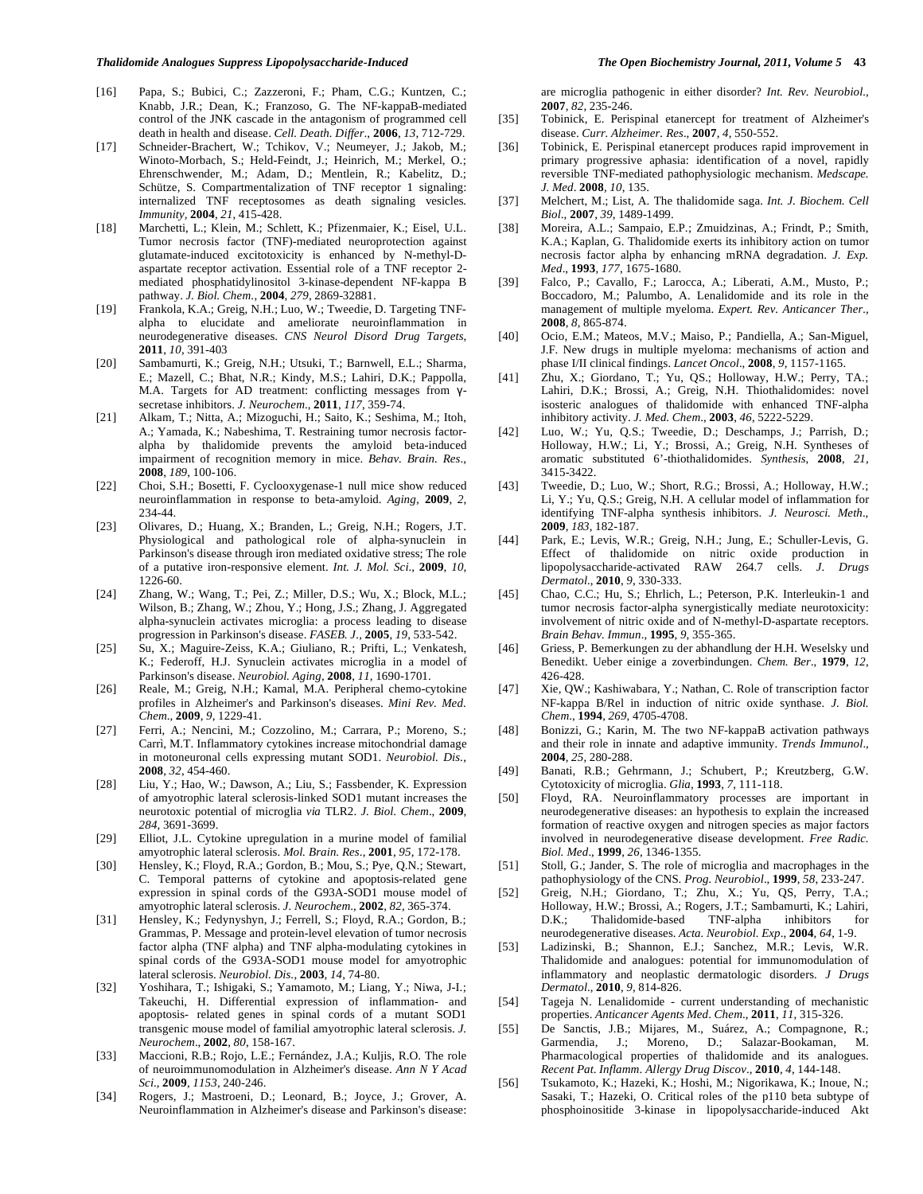- [16] Papa, S.; Bubici, C.; Zazzeroni, F.; Pham, C.G.; Kuntzen, C.; Knabb, J.R.; Dean, K.; Franzoso, G. The NF-kappaB-mediated control of the JNK cascade in the antagonism of programmed cell death in health and disease. *Cell. Death. Differ*., **2006**, *13*, 712-729.
- [17] Schneider-Brachert, W.; Tchikov, V.; Neumeyer, J.; Jakob, M.; Winoto-Morbach, S.; Held-Feindt, J.; Heinrich, M.; Merkel, O.; Ehrenschwender, M.; Adam, D.; Mentlein, R.; Kabelitz, D.; Schütze, S. Compartmentalization of TNF receptor 1 signaling: internalized TNF receptosomes as death signaling vesicles*. Immunity,* **2004**, *21*, 415-428.
- [18] Marchetti, L.; Klein, M.; Schlett, K.; Pfizenmaier, K.; Eisel, U.L. Tumor necrosis factor (TNF)-mediated neuroprotection against glutamate-induced excitotoxicity is enhanced by N-methyl-Daspartate receptor activation. Essential role of a TNF receptor 2 mediated phosphatidylinositol 3-kinase-dependent NF-kappa B pathway. *J. Biol. Chem*., **2004**, *279*, 2869-32881.
- [19] Frankola, K.A.; Greig, N.H.; Luo, W.; Tweedie, D. Targeting TNFalpha to elucidate and ameliorate neuroinflammation in neurodegenerative diseases. *CNS Neurol Disord Drug Targets*, **2011**, *10*, 391-403
- [20] Sambamurti, K.; Greig, N.H.; Utsuki, T.; Barnwell, E.L.; Sharma, E.; Mazell, C.; Bhat, N.R.; Kindy, M.S.; Lahiri, D.K.; Pappolla, M.A. Targets for AD treatment: conflicting messages from  $\gamma$ secretase inhibitors. *J. Neurochem*., **2011**, *117*, 359-74.
- [21] Alkam, T.; Nitta, A.; Mizoguchi, H.; Saito, K.; Seshima, M.; Itoh, A.; Yamada, K.; Nabeshima, T. Restraining tumor necrosis factoralpha by thalidomide prevents the amyloid beta-induced impairment of recognition memory in mice. *Behav. Brain. Res*., **2008**, *189*, 100-106.
- [22] Choi, S.H.; Bosetti, F. Cyclooxygenase-1 null mice show reduced neuroinflammation in response to beta-amyloid. *Aging*, **2009**, *2*, 234-44.
- [23] Olivares, D.; Huang, X.; Branden, L.; Greig, N.H.; Rogers, J.T. Physiological and pathological role of alpha-synuclein in Parkinson's disease through iron mediated oxidative stress; The role of a putative iron-responsive element. *Int. J. Mol. Sci*., **2009**, *10*, 1226-60.
- [24] Zhang, W.; Wang, T.; Pei, Z.; Miller, D.S.; Wu, X.; Block, M.L.; Wilson, B.; Zhang, W.; Zhou, Y.; Hong, J.S.; Zhang, J. Aggregated alpha-synuclein activates microglia: a process leading to disease progression in Parkinson's disease. *FASEB. J.,* **2005**, *19*, 533-542.
- [25] Su, X.; Maguire-Zeiss, K.A.; Giuliano, R.; Prifti, L.; Venkatesh, K.; Federoff, H.J. Synuclein activates microglia in a model of Parkinson's disease. *Neurobiol. Aging*, **2008**, *11*, 1690-1701.
- [26] Reale, M.; Greig, N.H.; Kamal, M.A. Peripheral chemo-cytokine profiles in Alzheimer's and Parkinson's diseases. *Mini Rev. Med. Chem*., **2009**, *9*, 1229-41.
- [27] Ferri, A.; Nencini, M.; Cozzolino, M.; Carrara, P.; Moreno, S.; Carrì, M.T. Inflammatory cytokines increase mitochondrial damage in motoneuronal cells expressing mutant SOD1. *Neurobiol. Dis*., **2008**, *32*, 454-460.
- [28] Liu, Y.; Hao, W.; Dawson, A.; Liu, S.; Fassbender, K. Expression of amyotrophic lateral sclerosis-linked SOD1 mutant increases the neurotoxic potential of microglia *via* TLR2. *J. Biol. Chem*., **2009**, *284*, 3691-3699.
- [29] Elliot, J.L. Cytokine upregulation in a murine model of familial amyotrophic lateral sclerosis. *Mol. Brain. Res*., **2001**, *95*, 172-178.
- [30] Hensley, K.; Floyd, R.A.; Gordon, B.; Mou, S.; Pye, Q.N.; Stewart, C. Temporal patterns of cytokine and apoptosis-related gene expression in spinal cords of the G93A-SOD1 mouse model of amyotrophic lateral sclerosis. *J. Neurochem*., **2002**, *82*, 365-374.
- [31] Hensley, K.; Fedynyshyn, J.; Ferrell, S.; Floyd, R.A.; Gordon, B.; Grammas, P. Message and protein-level elevation of tumor necrosis factor alpha (TNF alpha) and TNF alpha-modulating cytokines in spinal cords of the G93A-SOD1 mouse model for amyotrophic lateral sclerosis. *Neurobiol. Dis*., **2003**, *14*, 74-80.
- [32] Yoshihara, T.; Ishigaki, S.; Yamamoto, M.; Liang, Y.; Niwa, J-I.; Takeuchi, H. Differential expression of inflammation- and apoptosis- related genes in spinal cords of a mutant SOD1 transgenic mouse model of familial amyotrophic lateral sclerosis. *J. Neurochem*., **2002**, *80*, 158-167.
- [33] Maccioni, R.B.; Rojo, L.E.; Fernández, J.A.; Kuljis, R.O. The role of neuroimmunomodulation in Alzheimer's disease. *Ann N Y Acad Sci*., **2009**, *1153*, 240-246.
- [34] Rogers, J.; Mastroeni, D.; Leonard, B.; Joyce, J.; Grover, A. Neuroinflammation in Alzheimer's disease and Parkinson's disease:

are microglia pathogenic in either disorder? *Int. Rev. Neurobiol.,* **2007**, *82*, 235-246.

- [35] Tobinick, E. Perispinal etanercept for treatment of Alzheimer's disease. *Curr. Alzheimer. Res*., **2007**, *4*, 550-552.
- [36] Tobinick, E. Perispinal etanercept produces rapid improvement in primary progressive aphasia: identification of a novel, rapidly reversible TNF-mediated pathophysiologic mechanism. *Medscape. J. Med*. **2008**, *10*, 135.
- [37] Melchert, M.; List, A. The thalidomide saga. *Int. J. Biochem. Cell Biol*., **2007**, *39*, 1489-1499.
- [38] Moreira, A.L.; Sampaio, E.P.; Zmuidzinas, A.; Frindt, P.; Smith, K.A.; Kaplan, G. Thalidomide exerts its inhibitory action on tumor necrosis factor alpha by enhancing mRNA degradation. *J. Exp. Med*., **1993**, *177*, 1675-1680.
- [39] Falco, P.; Cavallo, F.; Larocca, A.; Liberati, A.M., Musto, P.; Boccadoro, M.; Palumbo, A. Lenalidomide and its role in the management of multiple myeloma. *Expert. Rev. Anticancer Ther.,* **2008**, *8*, 865-874.
- [40] Ocio, E.M.; Mateos, M.V.; Maiso, P.; Pandiella, A.; San-Miguel, J.F. New drugs in multiple myeloma: mechanisms of action and phase I/II clinical findings. *Lancet Oncol*., **2008**, *9*, 1157-1165.
- [41] Zhu, X.; Giordano, T.; Yu, QS.; Holloway, H.W.; Perry, TA.; Lahiri, D.K.; Brossi, A.; Greig, N.H. Thiothalidomides: novel isosteric analogues of thalidomide with enhanced TNF-alpha inhibitory activity. *J. Med. Chem*., **2003**, *46*, 5222-5229.
- [42] Luo, W.; Yu, Q.S.; Tweedie, D.; Deschamps, J.; Parrish, D.; Holloway, H.W.; Li, Y.; Brossi, A.; Greig, N.H. Syntheses of aromatic substituted 6'-thiothalidomides. *Synthesis*, **2008**, *21*, 3415-3422.
- [43] Tweedie, D.; Luo, W.; Short, R.G.; Brossi, A.; Holloway, H.W.; Li, Y.; Yu, Q.S.; Greig, N.H. A cellular model of inflammation for identifying TNF-alpha synthesis inhibitors. *J. Neurosci. Meth*., **2009**, *183*, 182-187.
- [44] Park, E.; Levis, W.R.; Greig, N.H.; Jung, E.; Schuller-Levis, G. Effect of thalidomide on nitric oxide production in lipopolysaccharide-activated RAW 264.7 cells. *J*. *Drugs Dermatol*., **2010**, *9*, 330-333.
- [45] Chao, C.C.; Hu, S.; Ehrlich, L.; Peterson, P.K. Interleukin-1 and tumor necrosis factor-alpha synergistically mediate neurotoxicity: involvement of nitric oxide and of N-methyl-D-aspartate receptors. *Brain Behav. Immun*., **1995**, *9*, 355-365.
- [46] Griess, P. Bemerkungen zu der abhandlung der H.H. Weselsky und Benedikt. Ueber einige a zoverbindungen. *Chem. Ber*., **1979**, *12*, 426-428.
- [47] Xie, QW.; Kashiwabara, Y.; Nathan, C. Role of transcription factor NF-kappa B/Rel in induction of nitric oxide synthase. *J. Biol. Chem*., **1994**, *269*, 4705-4708.
- [48] Bonizzi, G.; Karin, M. The two NF-kappaB activation pathways and their role in innate and adaptive immunity. *Trends Immunol*., **2004**, *25*, 280-288.
- [49] Banati, R.B.; Gehrmann, J.; Schubert, P.; Kreutzberg, G.W. Cytotoxicity of microglia. *Glia*, **1993**, *7*, 111-118.
- [50] Floyd, RA. Neuroinflammatory processes are important in neurodegenerative diseases: an hypothesis to explain the increased formation of reactive oxygen and nitrogen species as major factors involved in neurodegenerative disease development. *Free Radic. Biol. Med*., **1999**, *26*, 1346-1355.
- [51] Stoll, G.; Jander, S. The role of microglia and macrophages in the pathophysiology of the CNS. *Prog. Neurobiol*., **1999**, *58*, 233-247.
- [52] Greig, N.H.; Giordano, T.; Zhu, X.; Yu, QS, Perry, T.A.; Holloway, H.W.; Brossi, A.; Rogers, J.T.; Sambamurti, K.; Lahiri, D.K.; Thalidomide-based TNF-alpha inhibitors for neurodegenerative diseases. *Acta. Neurobiol. Exp*., **2004**, *64*, 1-9.
- [53] Ladizinski, B.; Shannon, E.J.; Sanchez, M.R.; Levis, W.R. Thalidomide and analogues: potential for immunomodulation of inflammatory and neoplastic dermatologic disorders. *J Drugs Dermatol*., **2010**, *9*, 814-826.
- [54] Tageja N. Lenalidomide current understanding of mechanistic properties. *Anticancer Agents Med*. *Chem*., **2011**, *11*, 315-326.
- [55] De Sanctis, J.B.; Mijares, M., Suárez, A.; Compagnone, R.; Garmendia, J.; Moreno, D.; Salazar-Bookaman, M. Pharmacological properties of thalidomide and its analogues. *Recent Pat*. *Inflamm*. *Allergy Drug Discov*., **2010**, *4*, 144-148.
- [56] Tsukamoto, K.; Hazeki, K.; Hoshi, M.; Nigorikawa, K.; Inoue, N.; Sasaki, T.; Hazeki, O. Critical roles of the p110 beta subtype of phosphoinositide 3-kinase in lipopolysaccharide-induced Akt